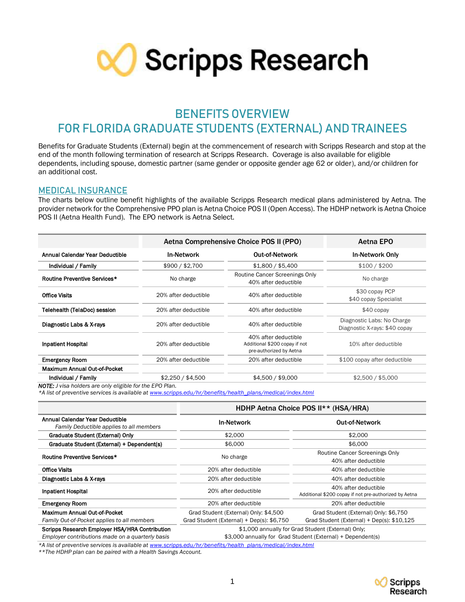

# **BENEFITS OVERVIEW FOR FLORIDA GRADUATE STUDENTS (EXTERNAL) AND TRAINEES**

Benefits for Graduate Students (External) begin at the commencement of research with Scripps Research and stop at the end of the month following termination of research at Scripps Research. Coverage is also available for eligible dependents, including spouse, domestic partner (same gender or opposite gender age 62 or older), and/or children for an additional cost.

#### **MEDICAL INSURANCE**

The charts below outline benefit highlights of the available Scripps Research medical plans administered by Aetna. The provider network for the Comprehensive PPO plan is Aetna Choice POS II (Open Access). The HDHP network is Aetna Choice POS II (Aetna Health Fund). The EPO network is Aetna Select.

|                                                                 | Aetna Comprehensive Choice POS II (PPO) | Aetna EPO                                                                        |                                                             |  |
|-----------------------------------------------------------------|-----------------------------------------|----------------------------------------------------------------------------------|-------------------------------------------------------------|--|
| Annual Calendar Year Deductible                                 | <b>In-Network</b>                       | <b>Out-of-Network</b>                                                            | <b>In-Network Only</b>                                      |  |
| Individual / Family                                             | \$900 / \$2,700                         | \$1,800 / \$5,400                                                                | \$100 / \$200                                               |  |
| Routine Preventive Services*                                    | No charge                               | Routine Cancer Screenings Only<br>40% after deductible                           | No charge                                                   |  |
| <b>Office Visits</b>                                            | 20% after deductible                    | 40% after deductible                                                             | \$30 copay PCP<br>\$40 copay Specialist                     |  |
| Telehealth (TelaDoc) session                                    | 20% after deductible                    | 40% after deductible                                                             | $$40$ copay                                                 |  |
| Diagnostic Labs & X-rays                                        | 20% after deductible                    | 40% after deductible                                                             | Diagnostic Labs: No Charge<br>Diagnostic X-rays: \$40 copay |  |
| <b>Inpatient Hospital</b>                                       | 20% after deductible                    | 40% after deductible<br>Additional \$200 copay if not<br>pre-authorized by Aetna | 10% after deductible                                        |  |
| <b>Emergency Room</b>                                           | 20% after deductible                    | 20% after deductible                                                             | \$100 copay after deductible                                |  |
| Maximum Annual Out-of-Pocket                                    |                                         |                                                                                  |                                                             |  |
| Individual / Family                                             | \$2,250 / \$4,500                       | \$4,500 / \$9,000                                                                | \$2,500 / \$5,000                                           |  |
| <b>NOTE:</b> J visa holders are only eligible for the EPO Plan. |                                         |                                                                                  |                                                             |  |

*\*A list of preventive services is available a[t www.scripps.edu/hr/benefits/health\\_plans/medical/index.html](http://www.scripps.edu/hr/benefits/health_plans/medical/index.html)*

|                                                                                                    | HDHP Aetna Choice POS II** (HSA/HRA)                                                                              |                                                                               |  |  |
|----------------------------------------------------------------------------------------------------|-------------------------------------------------------------------------------------------------------------------|-------------------------------------------------------------------------------|--|--|
| Annual Calendar Year Deductible<br>Family Deductible applies to all members                        | <b>In-Network</b>                                                                                                 | <b>Out-of-Network</b>                                                         |  |  |
| Graduate Student (External) Only                                                                   | \$2,000                                                                                                           | \$2,000                                                                       |  |  |
| Graduate Student (External) + Dependent(s)                                                         | \$6,000                                                                                                           | \$6,000                                                                       |  |  |
| Routine Preventive Services*                                                                       | No charge                                                                                                         | Routine Cancer Screenings Only<br>40% after deductible                        |  |  |
| <b>Office Visits</b>                                                                               | 20% after deductible                                                                                              | 40% after deductible                                                          |  |  |
| Diagnostic Labs & X-rays                                                                           | 20% after deductible                                                                                              | 40% after deductible                                                          |  |  |
| <b>Inpatient Hospital</b>                                                                          | 20% after deductible                                                                                              | 40% after deductible<br>Additional \$200 copay if not pre-authorized by Aetna |  |  |
| <b>Emergency Room</b>                                                                              | 20% after deductible                                                                                              | 20% after deductible                                                          |  |  |
| Maximum Annual Out-of-Pocket                                                                       | Grad Student (External) Only: \$4,500                                                                             | Grad Student (External) Only: \$6,750                                         |  |  |
| Family Out-of-Pocket applies to all members                                                        | Grad Student (External) + Dep(s): \$6,750                                                                         | Grad Student (External) + Dep(s): \$10,125                                    |  |  |
| Scripps Research Employer HSA/HRA Contribution<br>Employer contributions made on a quarterly basis | \$1,000 annually for Grad Student (External) Only;<br>\$3,000 annually for Grad Student (External) + Dependent(s) |                                                                               |  |  |

*\*A list of preventive services is available a[t www.scripps.edu/hr/benefits/health\\_plans/medical/index.html](http://www.scripps.edu/hr/benefits/health_plans/medical/index.html)*

*\*\*The HDHP plan can be paired with a Health Savings Account.*

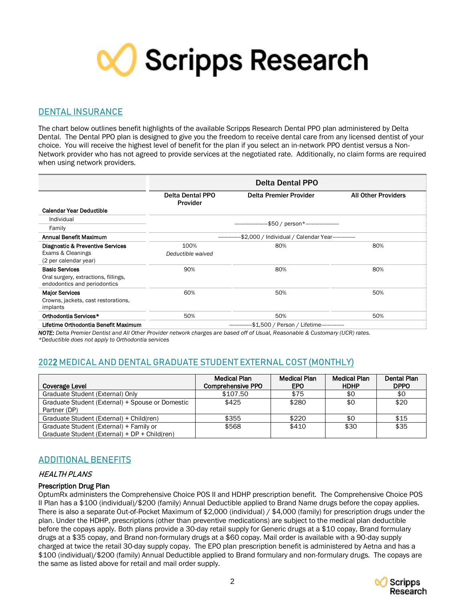

### **DENTAL INSURANCE**

The chart below outlines benefit highlights of the available Scripps Research Dental PPO plan administered by Delta Dental. The Dental PPO plan is designed to give you the freedom to receive dental care from any licensed dentist of your choice. You will receive the highest level of benefit for the plan if you select an in-network PPO dentist versus a Non-Network provider who has not agreed to provide services at the negotiated rate. Additionally, no claim forms are required when using network providers.

|                                                                                               | <b>Delta Dental PPO</b>                            |                        |                            |  |
|-----------------------------------------------------------------------------------------------|----------------------------------------------------|------------------------|----------------------------|--|
|                                                                                               | <b>Delta Dental PPO</b><br>Provider                | Delta Premier Provider | <b>All Other Providers</b> |  |
| <b>Calendar Year Deductible</b>                                                               |                                                    |                        |                            |  |
| Individual                                                                                    |                                                    |                        |                            |  |
| Family                                                                                        | -\$50 / person*---------------------               |                        |                            |  |
| Annual Benefit Maximum                                                                        | -\$2,000 / Individual / Calendar Year------------- |                        |                            |  |
| Diagnostic & Preventive Services<br>Exams & Cleanings<br>(2 per calendar year)                | 100%<br>Deductible waived                          | 80%                    | 80%                        |  |
| <b>Basic Services</b><br>Oral surgery, extractions, fillings,<br>endodontics and periodontics | 90%                                                | 80%                    | 80%                        |  |
| <b>Major Services</b><br>Crowns, jackets, cast restorations,<br>implants                      | 60%                                                | 50%                    | 50%                        |  |
| Orthodontia Services*                                                                         | 50%                                                | 50%                    | 50%                        |  |
| Lifetime Orthodontia Benefit Maximum                                                          | -\$1,500 / Person / Lifetime-------------          |                        |                            |  |

*NOTE: Delta Premier Dentist and All Other Provider network charges are based off of Usual, Reasonable & Customary (UCR) rates. \*Deductible does not apply to Orthodontia services*

# **202**2 **MEDICAL AND DENTAL GRADUATE STUDENT EXTERNAL COST (MONTHLY)**

| Coverage Level                                                                           | Medical Plan<br><b>Comprehensive PPO</b> | <b>Medical Plan</b><br><b>EPO</b> | <b>Medical Plan</b><br><b>HDHP</b> | Dental Plan<br><b>DPPO</b> |
|------------------------------------------------------------------------------------------|------------------------------------------|-----------------------------------|------------------------------------|----------------------------|
| Graduate Student (External) Only                                                         | \$107.50                                 | \$75                              | \$0                                | \$0                        |
| Graduate Student (External) + Spouse or Domestic<br>Partner (DP)                         | \$425                                    | \$280                             | \$0                                | \$20                       |
| Graduate Student (External) + Child(ren)                                                 | \$355                                    | \$220                             | \$0                                | \$15                       |
| Graduate Student (External) + Family or<br>Graduate Student (External) + DP + Child(ren) | \$568                                    | \$410                             | \$30                               | \$35                       |

## **ADDITIONAL BENEFITS**

### HEALTH PLANS

#### Prescription Drug Plan

OptumRx administers the Comprehensive Choice POS II and HDHP prescription benefit. The Comprehensive Choice POS II Plan has a \$100 (individual)/\$200 (family) Annual Deductible applied to Brand Name drugs before the copay applies. There is also a separate Out-of-Pocket Maximum of \$2,000 (individual) / \$4,000 (family) for prescription drugs under the plan. Under the HDHP, prescriptions (other than preventive medications) are subject to the medical plan deductible before the copays apply. Both plans provide a 30-day retail supply for Generic drugs at a \$10 copay, Brand formulary drugs at a \$35 copay, and Brand non-formulary drugs at a \$60 copay. Mail order is available with a 90-day supply charged at twice the retail 30-day supply copay. The EPO plan prescription benefit is administered by Aetna and has a \$100 (individual)/\$200 (family) Annual Deductible applied to Brand formulary and non-formulary drugs. The copays are the same as listed above for retail and mail order supply.

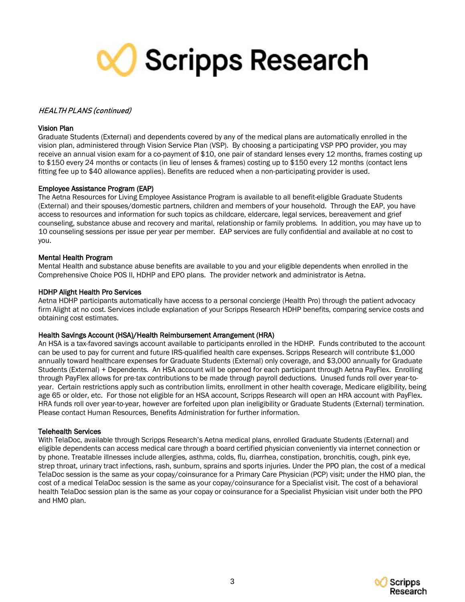

#### HEALTH PLANS (continued)

#### Vision Plan

Graduate Students (External) and dependents covered by any of the medical plans are automatically enrolled in the vision plan, administered through Vision Service Plan (VSP). By choosing a participating VSP PPO provider, you may receive an annual vision exam for a co-payment of \$10, one pair of standard lenses every 12 months, frames costing up to \$150 every 24 months or contacts (in lieu of lenses & frames) costing up to \$150 every 12 months (contact lens fitting fee up to \$40 allowance applies). Benefits are reduced when a non-participating provider is used.

#### Employee Assistance Program (EAP)

The Aetna Resources for Living Employee Assistance Program is available to all benefit-eligible Graduate Students (External) and their spouses/domestic partners, children and members of your household. Through the EAP, you have access to resources and information for such topics as childcare, eldercare, legal services, bereavement and grief counseling, substance abuse and recovery and marital, relationship or family problems. In addition, you may have up to 10 counseling sessions per issue per year per member. EAP services are fully confidential and available at no cost to you.

#### Mental Health Program

Mental Health and substance abuse benefits are available to you and your eligible dependents when enrolled in the Comprehensive Choice POS II, HDHP and EPO plans. The provider network and administrator is Aetna.

#### HDHP Alight Health Pro Services

Aetna HDHP participants automatically have access to a personal concierge (Health Pro) through the patient advocacy firm Alight at no cost. Services include explanation of your Scripps Research HDHP benefits, comparing service costs and obtaining cost estimates.

#### Health Savings Account (HSA)/Health Reimbursement Arrangement (HRA)

An HSA is a tax-favored savings account available to participants enrolled in the HDHP. Funds contributed to the account can be used to pay for current and future IRS-qualified health care expenses. Scripps Research will contribute \$1,000 annually toward healthcare expenses for Graduate Students (External) only coverage, and \$3,000 annually for Graduate Students (External) + Dependents. An HSA account will be opened for each participant through Aetna PayFlex. Enrolling through PayFlex allows for pre-tax contributions to be made through payroll deductions. Unused funds roll over year-toyear. Certain restrictions apply such as contribution limits, enrollment in other health coverage, Medicare eligibility, being age 65 or older, etc. For those not eligible for an HSA account, Scripps Research will open an HRA account with PayFlex. HRA funds roll over year-to-year, however are forfeited upon plan ineligibility or Graduate Students (External) termination. Please contact Human Resources, Benefits Administration for further information.

#### Telehealth Services

With TelaDoc, available through Scripps Research's Aetna medical plans, enrolled Graduate Students (External) and eligible dependents can access medical care through a board certified physician conveniently via internet connection or by phone. Treatable illnesses include allergies, asthma, colds, flu, diarrhea, constipation, bronchitis, cough, pink eye, strep throat, urinary tract infections, rash, sunburn, sprains and sports injuries. Under the PPO plan, the cost of a medical TelaDoc session is the same as your copay/coinsurance for a Primary Care Physician (PCP) visit; under the HMO plan, the cost of a medical TelaDoc session is the same as your copay/coinsurance for a Specialist visit. The cost of a behavioral health TelaDoc session plan is the same as your copay or coinsurance for a Specialist Physician visit under both the PPO and HMO plan.